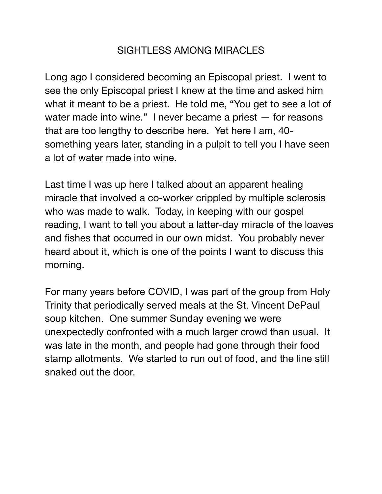## SIGHTLESS AMONG MIRACLES

Long ago I considered becoming an Episcopal priest. I went to see the only Episcopal priest I knew at the time and asked him what it meant to be a priest. He told me, "You get to see a lot of water made into wine." I never became a priest — for reasons that are too lengthy to describe here. Yet here I am, 40 something years later, standing in a pulpit to tell you I have seen a lot of water made into wine.

Last time I was up here I talked about an apparent healing miracle that involved a co-worker crippled by multiple sclerosis who was made to walk. Today, in keeping with our gospel reading, I want to tell you about a latter-day miracle of the loaves and fishes that occurred in our own midst. You probably never heard about it, which is one of the points I want to discuss this morning.

For many years before COVID, I was part of the group from Holy Trinity that periodically served meals at the St. Vincent DePaul soup kitchen. One summer Sunday evening we were unexpectedly confronted with a much larger crowd than usual. It was late in the month, and people had gone through their food stamp allotments. We started to run out of food, and the line still snaked out the door.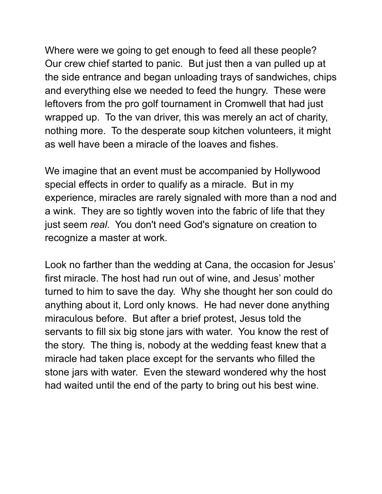Where were we going to get enough to feed all these people? Our crew chief started to panic. But just then a van pulled up at the side entrance and began unloading trays of sandwiches, chips and everything else we needed to feed the hungry. These were leftovers from the pro golf tournament in Cromwell that had just wrapped up. To the van driver, this was merely an act of charity, nothing more. To the desperate soup kitchen volunteers, it might as well have been a miracle of the loaves and fishes.

We imagine that an event must be accompanied by Hollywood special effects in order to qualify as a miracle. But in my experience, miracles are rarely signaled with more than a nod and a wink. They are so tightly woven into the fabric of life that they just seem *real*. You don't need God's signature on creation to recognize a master at work.

Look no farther than the wedding at Cana, the occasion for Jesus' first miracle. The host had run out of wine, and Jesus' mother turned to him to save the day. Why she thought her son could do anything about it, Lord only knows. He had never done anything miraculous before. But after a brief protest, Jesus told the servants to fill six big stone jars with water. You know the rest of the story. The thing is, nobody at the wedding feast knew that a miracle had taken place except for the servants who filled the stone jars with water. Even the steward wondered why the host had waited until the end of the party to bring out his best wine.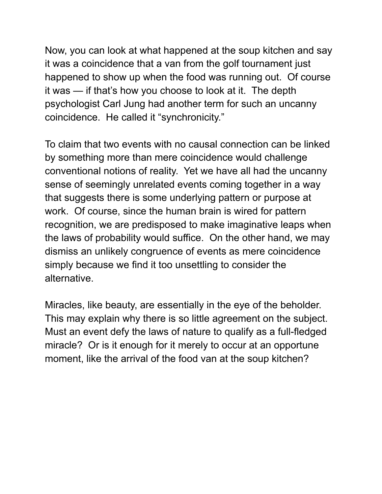Now, you can look at what happened at the soup kitchen and say it was a coincidence that a van from the golf tournament just happened to show up when the food was running out. Of course it was — if that's how you choose to look at it. The depth psychologist Carl Jung had another term for such an uncanny coincidence. He called it "synchronicity."

To claim that two events with no causal connection can be linked by something more than mere coincidence would challenge conventional notions of reality. Yet we have all had the uncanny sense of seemingly unrelated events coming together in a way that suggests there is some underlying pattern or purpose at work. Of course, since the human brain is wired for pattern recognition, we are predisposed to make imaginative leaps when the laws of probability would suffice. On the other hand, we may dismiss an unlikely congruence of events as mere coincidence simply because we find it too unsettling to consider the alternative.

Miracles, like beauty, are essentially in the eye of the beholder. This may explain why there is so little agreement on the subject. Must an event defy the laws of nature to qualify as a full-fledged miracle? Or is it enough for it merely to occur at an opportune moment, like the arrival of the food van at the soup kitchen?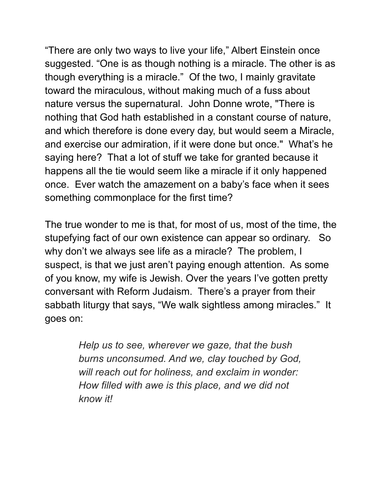"There are only two ways to live your life," Albert Einstein once suggested. "One is as though nothing is a miracle. The other is as though everything is a miracle." Of the two, I mainly gravitate toward the miraculous, without making much of a fuss about nature versus the supernatural. John Donne wrote, "There is nothing that God hath established in a constant course of nature, and which therefore is done every day, but would seem a Miracle, and exercise our admiration, if it were done but once." What's he saying here? That a lot of stuff we take for granted because it happens all the tie would seem like a miracle if it only happened once. Ever watch the amazement on a baby's face when it sees something commonplace for the first time?

The true wonder to me is that, for most of us, most of the time, the stupefying fact of our own existence can appear so ordinary. So why don't we always see life as a miracle? The problem, I suspect, is that we just aren't paying enough attention. As some of you know, my wife is Jewish. Over the years I've gotten pretty conversant with Reform Judaism. There's a prayer from their sabbath liturgy that says, "We walk sightless among miracles." It goes on:

> *Help us to see, wherever we gaze, that the bush burns unconsumed. And we, clay touched by God, will reach out for holiness, and exclaim in wonder: How filled with awe is this place, and we did not know it!*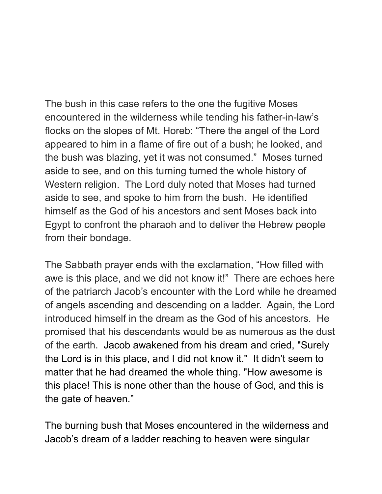The bush in this case refers to the one the fugitive Moses encountered in the wilderness while tending his father-in-law's flocks on the slopes of Mt. Horeb: "There the angel of the Lord appeared to him in a flame of fire out of a bush; he looked, and the bush was blazing, yet it was not consumed." Moses turned aside to see, and on this turning turned the whole history of Western religion. The Lord duly noted that Moses had turned aside to see, and spoke to him from the bush. He identified himself as the God of his ancestors and sent Moses back into Egypt to confront the pharaoh and to deliver the Hebrew people from their bondage.

The Sabbath prayer ends with the exclamation, "How filled with awe is this place, and we did not know it!" There are echoes here of the patriarch Jacob's encounter with the Lord while he dreamed of angels ascending and descending on a ladder. Again, the Lord introduced himself in the dream as the God of his ancestors. He promised that his descendants would be as numerous as the dust of the earth. Jacob awakened from his dream and cried, "Surely the Lord is in this place, and I did not know it." It didn't seem to matter that he had dreamed the whole thing. "How awesome is this place! This is none other than the house of God, and this is the gate of heaven."

The burning bush that Moses encountered in the wilderness and Jacob's dream of a ladder reaching to heaven were singular